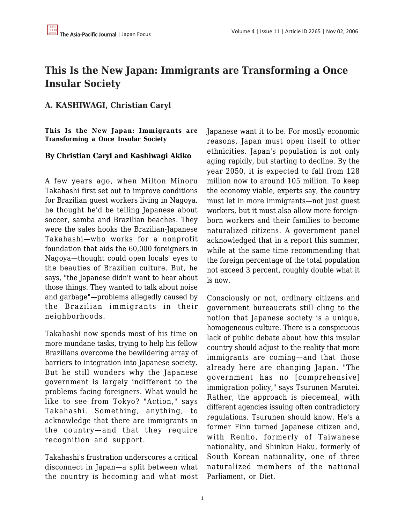## **This Is the New Japan: Immigrants are Transforming a Once Insular Society**

## **A. KASHIWAGI, Christian Caryl**

**This Is the New Japan: Immigrants are Transforming a Once Insular Society**

## **By Christian Caryl and Kashiwagi Akiko**

A few years ago, when Milton Minoru Takahashi first set out to improve conditions for Brazilian guest workers living in Nagoya, he thought he'd be telling Japanese about soccer, samba and Brazilian beaches. They were the sales hooks the Brazilian-Japanese Takahashi—who works for a nonprofit foundation that aids the 60,000 foreigners in Nagoya—thought could open locals' eyes to the beauties of Brazilian culture. But, he says, "the Japanese didn't want to hear about those things. They wanted to talk about noise and garbage"—problems allegedly caused by the Brazilian immigrants in their neighborhoods.

Takahashi now spends most of his time on more mundane tasks, trying to help his fellow Brazilians overcome the bewildering array of barriers to integration into Japanese society. But he still wonders why the Japanese government is largely indifferent to the problems facing foreigners. What would he like to see from Tokyo? "Action," says Takahashi. Something, anything, to acknowledge that there are immigrants in the country—and that they require recognition and support.

Takahashi's frustration underscores a critical disconnect in Japan—a split between what the country is becoming and what most Japanese want it to be. For mostly economic reasons, Japan must open itself to other ethnicities. Japan's population is not only aging rapidly, but starting to decline. By the year 2050, it is expected to fall from 128 million now to around 105 million. To keep the economy viable, experts say, the country must let in more immigrants—not just guest workers, but it must also allow more foreignborn workers and their families to become naturalized citizens. A government panel acknowledged that in a report this summer, while at the same time recommending that the foreign percentage of the total population not exceed 3 percent, roughly double what it is now.

Consciously or not, ordinary citizens and government bureaucrats still cling to the notion that Japanese society is a unique, homogeneous culture. There is a conspicuous lack of public debate about how this insular country should adjust to the reality that more immigrants are coming—and that those already here are changing Japan. "The government has no [comprehensive] immigration policy," says Tsurunen Marutei. Rather, the approach is piecemeal, with different agencies issuing often contradictory regulations. Tsurunen should know. He's a former Finn turned Japanese citizen and, with Renho, formerly of Taiwanese nationality, and Shinkun Haku, formerly of South Korean nationality, one of three naturalized members of the national Parliament, or Diet.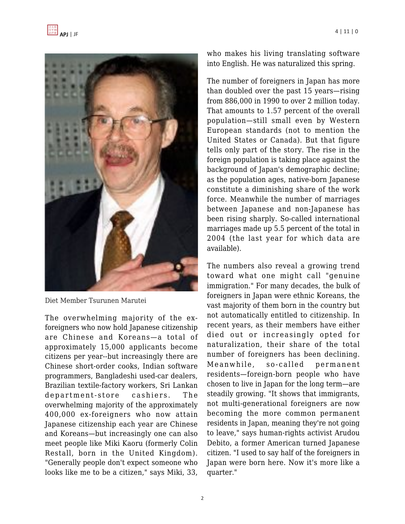



Diet Member Tsurunen Marutei

The overwhelming majority of the exforeigners who now hold Japanese citizenship are Chinese and Koreans—a total of approximately 15,000 applicants become citizens per year--but increasingly there are Chinese short-order cooks, Indian software programmers, Bangladeshi used-car dealers, Brazilian textile-factory workers, Sri Lankan department-store cashiers. The overwhelming majority of the approximately 400,000 ex-foreigners who now attain Japanese citizenship each year are Chinese and Koreans—but increasingly one can also meet people like Miki Kaoru (formerly Colin Restall, born in the United Kingdom). "Generally people don't expect someone who looks like me to be a citizen," says Miki, 33,

who makes his living translating software into English. He was naturalized this spring.

The number of foreigners in Japan has more than doubled over the past 15 years—rising from 886,000 in 1990 to over 2 million today. That amounts to 1.57 percent of the overall population—still small even by Western European standards (not to mention the United States or Canada). But that figure tells only part of the story. The rise in the foreign population is taking place against the background of Japan's demographic decline; as the population ages, native-born Japanese constitute a diminishing share of the work force. Meanwhile the number of marriages between Japanese and non-Japanese has been rising sharply. So-called international marriages made up 5.5 percent of the total in 2004 (the last year for which data are available).

The numbers also reveal a growing trend toward what one might call "genuine immigration." For many decades, the bulk of foreigners in Japan were ethnic Koreans, the vast majority of them born in the country but not automatically entitled to citizenship. In recent years, as their members have either died out or increasingly opted for naturalization, their share of the total number of foreigners has been declining. Meanwhile, so-called permanent residents—foreign-born people who have chosen to live in Japan for the long term—are steadily growing. "It shows that immigrants, not multi-generational foreigners are now becoming the more common permanent residents in Japan, meaning they're not going to leave," says human-rights activist Arudou Debito, a former American turned Japanese citizen. "I used to say half of the foreigners in Japan were born here. Now it's more like a quarter."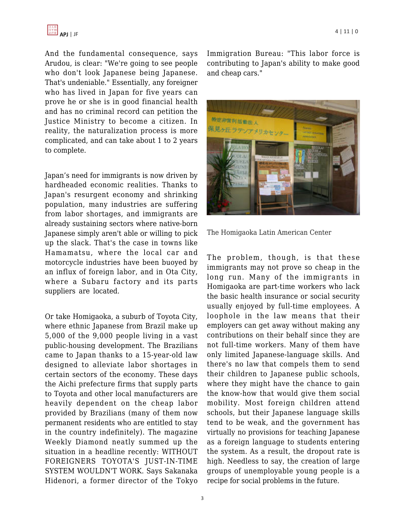

And the fundamental consequence, says Arudou, is clear: "We're going to see people who don't look Japanese being Japanese. That's undeniable." Essentially, any foreigner who has lived in Japan for five years can prove he or she is in good financial health and has no criminal record can petition the Justice Ministry to become a citizen. In reality, the naturalization process is more complicated, and can take about 1 to 2 years to complete.

Japan's need for immigrants is now driven by hardheaded economic realities. Thanks to Japan's resurgent economy and shrinking population, many industries are suffering from labor shortages, and immigrants are already sustaining sectors where native-born Japanese simply aren't able or willing to pick up the slack. That's the case in towns like Hamamatsu, where the local car and motorcycle industries have been buoyed by an influx of foreign labor, and in Ota City, where a Subaru factory and its parts suppliers are located.

Or take Homigaoka, a suburb of Toyota City, where ethnic Japanese from Brazil make up 5,000 of the 9,000 people living in a vast public-housing development. The Brazilians came to Japan thanks to a 15-year-old law designed to alleviate labor shortages in certain sectors of the economy. These days the Aichi prefecture firms that supply parts to Toyota and other local manufacturers are heavily dependent on the cheap labor provided by Brazilians (many of them now permanent residents who are entitled to stay in the country indefinitely). The magazine Weekly Diamond neatly summed up the situation in a headline recently: WITHOUT FOREIGNERS TOYOTA'S JUST-IN-TIME SYSTEM WOULDN'T WORK. Says Sakanaka Hidenori, a former director of the Tokyo Immigration Bureau: "This labor force is contributing to Japan's ability to make good and cheap cars."



The Homigaoka Latin American Center

The problem, though, is that these immigrants may not prove so cheap in the long run. Many of the immigrants in Homigaoka are part-time workers who lack the basic health insurance or social security usually enjoyed by full-time employees. A loophole in the law means that their employers can get away without making any contributions on their behalf since they are not full-time workers. Many of them have only limited Japanese-language skills. And there's no law that compels them to send their children to Japanese public schools, where they might have the chance to gain the know-how that would give them social mobility. Most foreign children attend schools, but their Japanese language skills tend to be weak, and the government has virtually no provisions for teaching Japanese as a foreign language to students entering the system. As a result, the dropout rate is high. Needless to say, the creation of large groups of unemployable young people is a recipe for social problems in the future.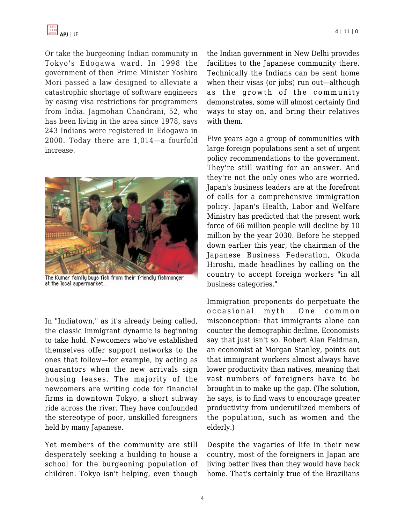Or take the burgeoning Indian community in Tokyo's Edogawa ward. In 1998 the government of then Prime Minister Yoshiro Mori passed a law designed to alleviate a catastrophic shortage of software engineers by easing visa restrictions for programmers from India. Jagmohan Chandrani, 52, who has been living in the area since 1978, says 243 Indians were registered in Edogawa in 2000. Today there are 1,014—a fourfold increase.



The Kumar family buys fish from their friendly fishmonger at the local supermarket.

In "Indiatown," as it's already being called, the classic immigrant dynamic is beginning to take hold. Newcomers who've established themselves offer support networks to the ones that follow—for example, by acting as guarantors when the new arrivals sign housing leases. The majority of the newcomers are writing code for financial firms in downtown Tokyo, a short subway ride across the river. They have confounded the stereotype of poor, unskilled foreigners held by many Japanese.

Yet members of the community are still desperately seeking a building to house a school for the burgeoning population of children. Tokyo isn't helping, even though the Indian government in New Delhi provides facilities to the Japanese community there. Technically the Indians can be sent home when their visas (or jobs) run out—although as the growth of the community demonstrates, some will almost certainly find ways to stay on, and bring their relatives with them.

Five years ago a group of communities with large foreign populations sent a set of urgent policy recommendations to the government. They're still waiting for an answer. And they're not the only ones who are worried. Japan's business leaders are at the forefront of calls for a comprehensive immigration policy. Japan's Health, Labor and Welfare Ministry has predicted that the present work force of 66 million people will decline by 10 million by the year 2030. Before he stepped down earlier this year, the chairman of the Japanese Business Federation, Okuda Hiroshi, made headlines by calling on the country to accept foreign workers "in all business categories."

Immigration proponents do perpetuate the occasional myth. One common misconception: that immigrants alone can counter the demographic decline. Economists say that just isn't so. Robert Alan Feldman, an economist at Morgan Stanley, points out that immigrant workers almost always have lower productivity than natives, meaning that vast numbers of foreigners have to be brought in to make up the gap. (The solution, he says, is to find ways to encourage greater productivity from underutilized members of the population, such as women and the elderly.)

Despite the vagaries of life in their new country, most of the foreigners in Japan are living better lives than they would have back home. That's certainly true of the Brazilians